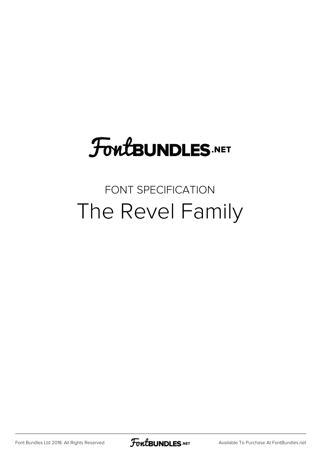### **FoutBUNDLES.NET**

### FONT SPECIFICATION The Revel Family

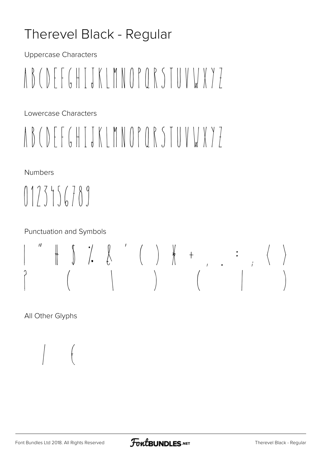#### Therevel Black - Regular

**Uppercase Characters** 

# NBCDFFGHTJKIMNOPORSTUVWY7

Lowercase Characters

# NBCDFFGHTJKIMNOPORSTUVWY7

Numbers

 $(123556789$ 

**Punctuation and Symbols** 

# 

All Other Glyphs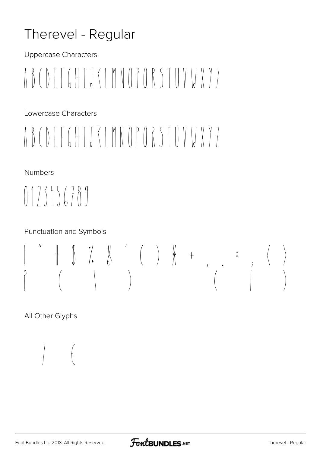#### Therevel - Regular

**Uppercase Characters** 

NBCDFFGHTJKIMNOPORSTUVWY7

Lowercase Characters

# NBCDFFGHTJKIMNOPORSTUVWY7

Numbers

 $0175156789$ 

**Punctuation and Symbols** 

### $\overline{11}$

All Other Glyphs

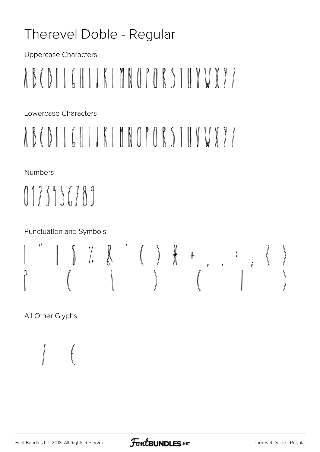#### Therevel Doble - Regular

**Uppercase Characters** 

# A B C D F F G H T J K L M N O P O R S T U V V X Y 7

Lowercase Characters

# A B C D F F G H T J K I M N O P O R S T U V V X Y 7

Numbers

 $0175156789$ 

**Punctuation and Symbols** 

### $\begin{array}{cccccccccccccc} \# & \mathbb{S} & \mathbb{S} & \mathbb{S} & \mathbb{S} & \mathbb{S} & \mathbb{S} & \mathbb{S} & \mathbb{S} & \mathbb{S} & \mathbb{S} & \mathbb{S} & \mathbb{S} & \mathbb{S} & \mathbb{S} & \mathbb{S} & \mathbb{S} & \mathbb{S} & \mathbb{S} & \mathbb{S} & \mathbb{S} & \mathbb{S} & \mathbb{S} & \mathbb{S} & \mathbb{S} & \mathbb{S} & \mathbb{S} & \mathbb{S} & \mathbb{S} & \mathbb{S} & \mathbb{$  $\overline{11}$  $\int$

All Other Glyphs